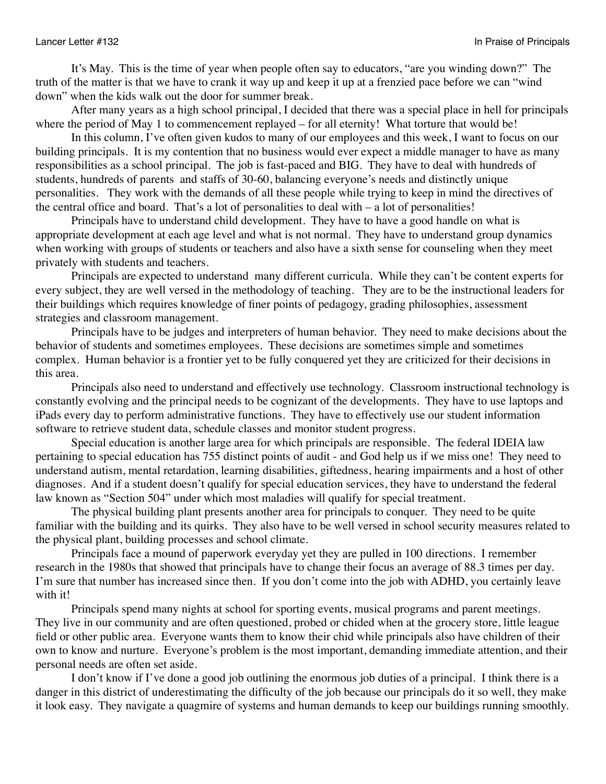It's May. This is the time of year when people often say to educators, "are you winding down?" The truth of the matter is that we have to crank it way up and keep it up at a frenzied pace before we can "wind down" when the kids walk out the door for summer break.

After many years as a high school principal, I decided that there was a special place in hell for principals where the period of May 1 to commencement replayed – for all eternity! What torture that would be!

In this column, I've often given kudos to many of our employees and this week, I want to focus on our building principals. It is my contention that no business would ever expect a middle manager to have as many responsibilities as a school principal. The job is fast-paced and BIG. They have to deal with hundreds of students, hundreds of parents and staffs of 30-60, balancing everyone's needs and distinctly unique personalities. They work with the demands of all these people while trying to keep in mind the directives of the central office and board. That's a lot of personalities to deal with – a lot of personalities!

Principals have to understand child development. They have to have a good handle on what is appropriate development at each age level and what is not normal. They have to understand group dynamics when working with groups of students or teachers and also have a sixth sense for counseling when they meet privately with students and teachers.

Principals are expected to understand many different curricula. While they can't be content experts for every subject, they are well versed in the methodology of teaching. They are to be the instructional leaders for their buildings which requires knowledge of finer points of pedagogy, grading philosophies, assessment strategies and classroom management.

Principals have to be judges and interpreters of human behavior. They need to make decisions about the behavior of students and sometimes employees. These decisions are sometimes simple and sometimes complex. Human behavior is a frontier yet to be fully conquered yet they are criticized for their decisions in this area.

Principals also need to understand and effectively use technology. Classroom instructional technology is constantly evolving and the principal needs to be cognizant of the developments. They have to use laptops and iPads every day to perform administrative functions. They have to effectively use our student information software to retrieve student data, schedule classes and monitor student progress.

Special education is another large area for which principals are responsible. The federal IDEIA law pertaining to special education has 755 distinct points of audit - and God help us if we miss one! They need to understand autism, mental retardation, learning disabilities, giftedness, hearing impairments and a host of other diagnoses. And if a student doesn't qualify for special education services, they have to understand the federal law known as "Section 504" under which most maladies will qualify for special treatment.

The physical building plant presents another area for principals to conquer. They need to be quite familiar with the building and its quirks. They also have to be well versed in school security measures related to the physical plant, building processes and school climate.

Principals face a mound of paperwork everyday yet they are pulled in 100 directions. I remember research in the 1980s that showed that principals have to change their focus an average of 88.3 times per day. I'm sure that number has increased since then. If you don't come into the job with ADHD, you certainly leave with it!

Principals spend many nights at school for sporting events, musical programs and parent meetings. They live in our community and are often questioned, probed or chided when at the grocery store, little league field or other public area. Everyone wants them to know their chid while principals also have children of their own to know and nurture. Everyone's problem is the most important, demanding immediate attention, and their personal needs are often set aside.

I don't know if I've done a good job outlining the enormous job duties of a principal. I think there is a danger in this district of underestimating the difficulty of the job because our principals do it so well, they make it look easy. They navigate a quagmire of systems and human demands to keep our buildings running smoothly.